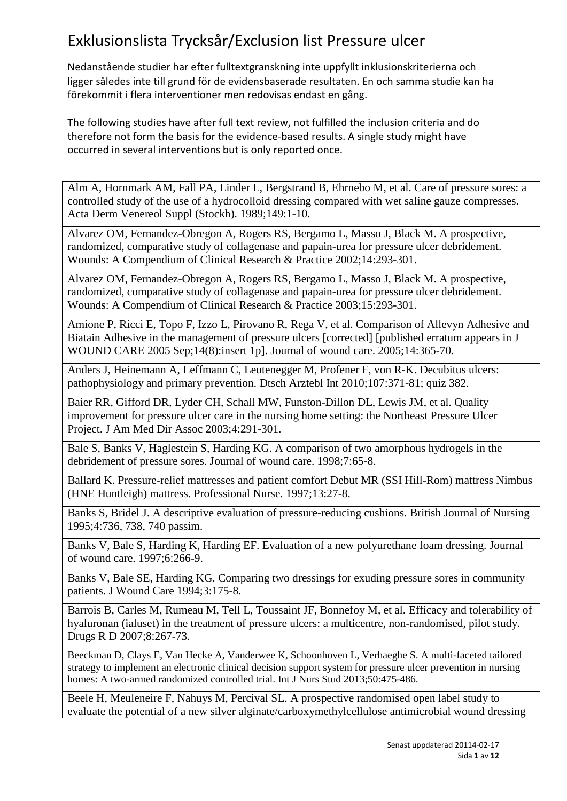Nedanstående studier har efter fulltextgranskning inte uppfyllt inklusionskriterierna och ligger således inte till grund för de evidensbaserade resultaten. En och samma studie kan ha förekommit i flera interventioner men redovisas endast en gång.

The following studies have after full text review, not fulfilled the inclusion criteria and do therefore not form the basis for the evidence-based results. A single study might have occurred in several interventions but is only reported once.

Alm A, Hornmark AM, Fall PA, Linder L, Bergstrand B, Ehrnebo M, et al. Care of pressure sores: a controlled study of the use of a hydrocolloid dressing compared with wet saline gauze compresses. Acta Derm Venereol Suppl (Stockh). 1989;149:1-10.

Alvarez OM, Fernandez-Obregon A, Rogers RS, Bergamo L, Masso J, Black M. A prospective, randomized, comparative study of collagenase and papain-urea for pressure ulcer debridement. Wounds: A Compendium of Clinical Research & Practice 2002;14:293-301.

Alvarez OM, Fernandez-Obregon A, Rogers RS, Bergamo L, Masso J, Black M. A prospective, randomized, comparative study of collagenase and papain-urea for pressure ulcer debridement. Wounds: A Compendium of Clinical Research & Practice 2003;15:293-301.

Amione P, Ricci E, Topo F, Izzo L, Pirovano R, Rega V, et al. Comparison of Allevyn Adhesive and Biatain Adhesive in the management of pressure ulcers [corrected] [published erratum appears in J WOUND CARE 2005 Sep;14(8):insert 1p]. Journal of wound care. 2005;14:365-70.

Anders J, Heinemann A, Leffmann C, Leutenegger M, Profener F, von R-K. Decubitus ulcers: pathophysiology and primary prevention. Dtsch Arztebl Int 2010;107:371-81; quiz 382.

Baier RR, Gifford DR, Lyder CH, Schall MW, Funston-Dillon DL, Lewis JM, et al. Quality improvement for pressure ulcer care in the nursing home setting: the Northeast Pressure Ulcer Project. J Am Med Dir Assoc 2003;4:291-301.

Bale S, Banks V, Haglestein S, Harding KG. A comparison of two amorphous hydrogels in the debridement of pressure sores. Journal of wound care. 1998;7:65-8.

Ballard K. Pressure-relief mattresses and patient comfort Debut MR (SSI Hill-Rom) mattress Nimbus (HNE Huntleigh) mattress. Professional Nurse. 1997;13:27-8.

Banks S, Bridel J. A descriptive evaluation of pressure-reducing cushions. British Journal of Nursing 1995;4:736, 738, 740 passim.

Banks V, Bale S, Harding K, Harding EF. Evaluation of a new polyurethane foam dressing. Journal of wound care. 1997;6:266-9.

Banks V, Bale SE, Harding KG. Comparing two dressings for exuding pressure sores in community patients. J Wound Care 1994;3:175-8.

Barrois B, Carles M, Rumeau M, Tell L, Toussaint JF, Bonnefoy M, et al. Efficacy and tolerability of hyaluronan (ialuset) in the treatment of pressure ulcers: a multicentre, non-randomised, pilot study. Drugs R D 2007;8:267-73.

Beeckman D, Clays E, Van Hecke A, Vanderwee K, Schoonhoven L, Verhaeghe S. A multi-faceted tailored strategy to implement an electronic clinical decision support system for pressure ulcer prevention in nursing homes: A two-armed randomized controlled trial. Int J Nurs Stud 2013;50:475-486.

Beele H, Meuleneire F, Nahuys M, Percival SL. A prospective randomised open label study to evaluate the potential of a new silver alginate/carboxymethylcellulose antimicrobial wound dressing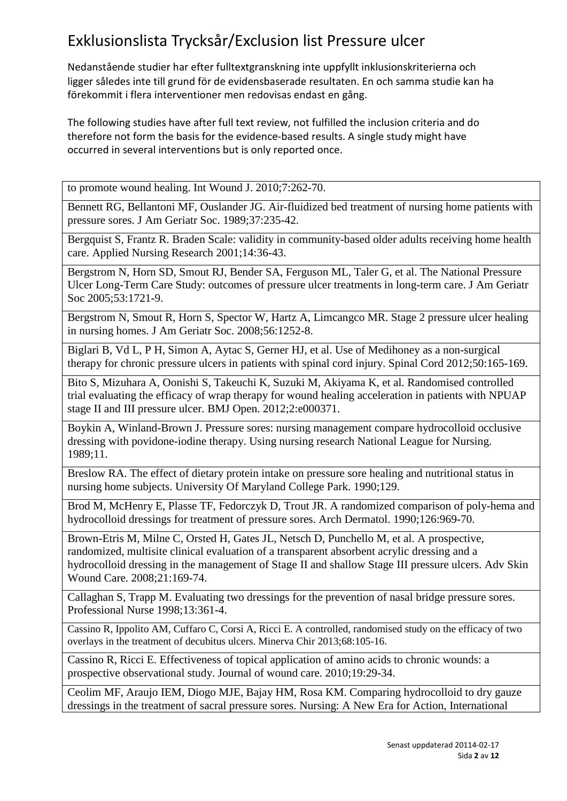Nedanstående studier har efter fulltextgranskning inte uppfyllt inklusionskriterierna och ligger således inte till grund för de evidensbaserade resultaten. En och samma studie kan ha förekommit i flera interventioner men redovisas endast en gång.

The following studies have after full text review, not fulfilled the inclusion criteria and do therefore not form the basis for the evidence-based results. A single study might have occurred in several interventions but is only reported once.

to promote wound healing. Int Wound J. 2010;7:262-70.

Bennett RG, Bellantoni MF, Ouslander JG. Air-fluidized bed treatment of nursing home patients with pressure sores. J Am Geriatr Soc. 1989;37:235-42.

Bergquist S, Frantz R. Braden Scale: validity in community-based older adults receiving home health care. Applied Nursing Research 2001;14:36-43.

Bergstrom N, Horn SD, Smout RJ, Bender SA, Ferguson ML, Taler G, et al. The National Pressure Ulcer Long-Term Care Study: outcomes of pressure ulcer treatments in long-term care. J Am Geriatr Soc 2005;53:1721-9.

Bergstrom N, Smout R, Horn S, Spector W, Hartz A, Limcangco MR. Stage 2 pressure ulcer healing in nursing homes. J Am Geriatr Soc. 2008;56:1252-8.

Biglari B, Vd L, P H, Simon A, Aytac S, Gerner HJ, et al. Use of Medihoney as a non-surgical therapy for chronic pressure ulcers in patients with spinal cord injury. Spinal Cord 2012;50:165-169.

Bito S, Mizuhara A, Oonishi S, Takeuchi K, Suzuki M, Akiyama K, et al. Randomised controlled trial evaluating the efficacy of wrap therapy for wound healing acceleration in patients with NPUAP stage II and III pressure ulcer. BMJ Open. 2012;2:e000371.

Boykin A, Winland-Brown J. Pressure sores: nursing management compare hydrocolloid occlusive dressing with povidone-iodine therapy. Using nursing research National League for Nursing. 1989;11.

Breslow RA. The effect of dietary protein intake on pressure sore healing and nutritional status in nursing home subjects. University Of Maryland College Park. 1990;129.

Brod M, McHenry E, Plasse TF, Fedorczyk D, Trout JR. A randomized comparison of poly-hema and hydrocolloid dressings for treatment of pressure sores. Arch Dermatol. 1990;126:969-70.

Brown-Etris M, Milne C, Orsted H, Gates JL, Netsch D, Punchello M, et al. A prospective, randomized, multisite clinical evaluation of a transparent absorbent acrylic dressing and a hydrocolloid dressing in the management of Stage II and shallow Stage III pressure ulcers. Adv Skin Wound Care. 2008;21:169-74.

Callaghan S, Trapp M. Evaluating two dressings for the prevention of nasal bridge pressure sores. Professional Nurse 1998;13:361-4.

Cassino R, Ippolito AM, Cuffaro C, Corsi A, Ricci E. A controlled, randomised study on the efficacy of two overlays in the treatment of decubitus ulcers. Minerva Chir 2013;68:105-16.

Cassino R, Ricci E. Effectiveness of topical application of amino acids to chronic wounds: a prospective observational study. Journal of wound care. 2010;19:29-34.

Ceolim MF, Araujo IEM, Diogo MJE, Bajay HM, Rosa KM. Comparing hydrocolloid to dry gauze dressings in the treatment of sacral pressure sores. Nursing: A New Era for Action, International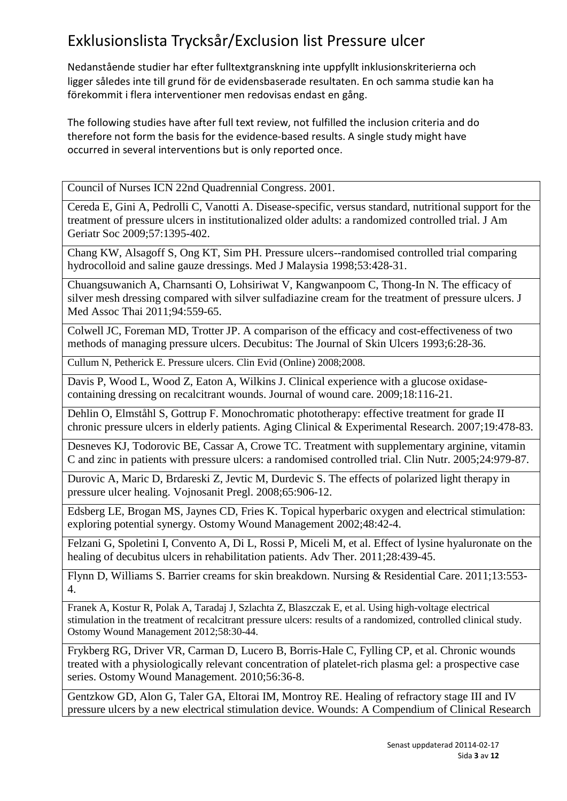Nedanstående studier har efter fulltextgranskning inte uppfyllt inklusionskriterierna och ligger således inte till grund för de evidensbaserade resultaten. En och samma studie kan ha förekommit i flera interventioner men redovisas endast en gång.

The following studies have after full text review, not fulfilled the inclusion criteria and do therefore not form the basis for the evidence-based results. A single study might have occurred in several interventions but is only reported once.

Council of Nurses ICN 22nd Quadrennial Congress. 2001.

Cereda E, Gini A, Pedrolli C, Vanotti A. Disease-specific, versus standard, nutritional support for the treatment of pressure ulcers in institutionalized older adults: a randomized controlled trial. J Am Geriatr Soc 2009;57:1395-402.

Chang KW, Alsagoff S, Ong KT, Sim PH. Pressure ulcers--randomised controlled trial comparing hydrocolloid and saline gauze dressings. Med J Malaysia 1998;53:428-31.

Chuangsuwanich A, Charnsanti O, Lohsiriwat V, Kangwanpoom C, Thong-In N. The efficacy of silver mesh dressing compared with silver sulfadiazine cream for the treatment of pressure ulcers. J Med Assoc Thai 2011;94:559-65.

Colwell JC, Foreman MD, Trotter JP. A comparison of the efficacy and cost-effectiveness of two methods of managing pressure ulcers. Decubitus: The Journal of Skin Ulcers 1993;6:28-36.

Cullum N, Petherick E. Pressure ulcers. Clin Evid (Online) 2008;2008.

Davis P, Wood L, Wood Z, Eaton A, Wilkins J. Clinical experience with a glucose oxidasecontaining dressing on recalcitrant wounds. Journal of wound care. 2009;18:116-21.

Dehlin O, Elmståhl S, Gottrup F. Monochromatic phototherapy: effective treatment for grade II chronic pressure ulcers in elderly patients. Aging Clinical & Experimental Research. 2007;19:478-83.

Desneves KJ, Todorovic BE, Cassar A, Crowe TC. Treatment with supplementary arginine, vitamin C and zinc in patients with pressure ulcers: a randomised controlled trial. Clin Nutr. 2005;24:979-87.

Durovic A, Maric D, Brdareski Z, Jevtic M, Durdevic S. The effects of polarized light therapy in pressure ulcer healing. Vojnosanit Pregl. 2008;65:906-12.

Edsberg LE, Brogan MS, Jaynes CD, Fries K. Topical hyperbaric oxygen and electrical stimulation: exploring potential synergy. Ostomy Wound Management 2002;48:42-4.

Felzani G, Spoletini I, Convento A, Di L, Rossi P, Miceli M, et al. Effect of lysine hyaluronate on the healing of decubitus ulcers in rehabilitation patients. Adv Ther. 2011;28:439-45.

Flynn D, Williams S. Barrier creams for skin breakdown. Nursing & Residential Care. 2011;13:553- 4.

Franek A, Kostur R, Polak A, Taradaj J, Szlachta Z, Blaszczak E, et al. Using high-voltage electrical stimulation in the treatment of recalcitrant pressure ulcers: results of a randomized, controlled clinical study. Ostomy Wound Management 2012;58:30-44.

Frykberg RG, Driver VR, Carman D, Lucero B, Borris-Hale C, Fylling CP, et al. Chronic wounds treated with a physiologically relevant concentration of platelet-rich plasma gel: a prospective case series. Ostomy Wound Management. 2010;56:36-8.

Gentzkow GD, Alon G, Taler GA, Eltorai IM, Montroy RE. Healing of refractory stage III and IV pressure ulcers by a new electrical stimulation device. Wounds: A Compendium of Clinical Research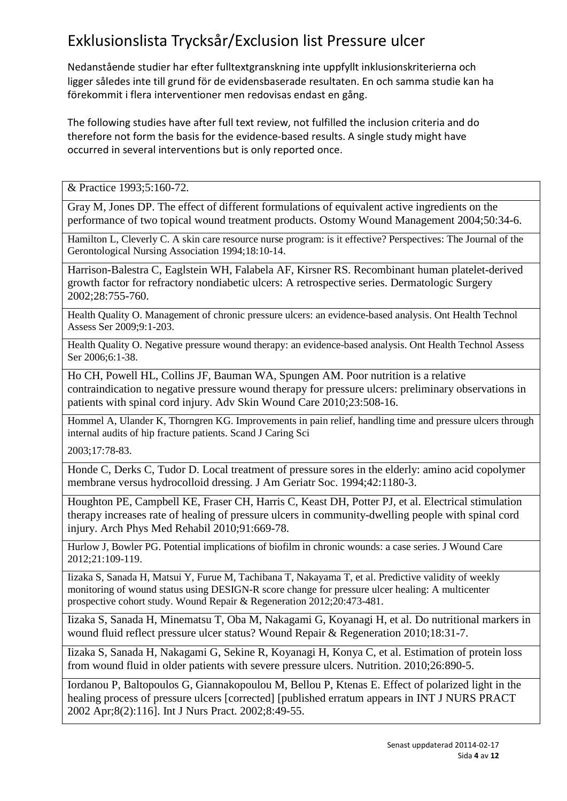Nedanstående studier har efter fulltextgranskning inte uppfyllt inklusionskriterierna och ligger således inte till grund för de evidensbaserade resultaten. En och samma studie kan ha förekommit i flera interventioner men redovisas endast en gång.

The following studies have after full text review, not fulfilled the inclusion criteria and do therefore not form the basis for the evidence-based results. A single study might have occurred in several interventions but is only reported once.

& Practice 1993;5:160-72.

Gray M, Jones DP. The effect of different formulations of equivalent active ingredients on the performance of two topical wound treatment products. Ostomy Wound Management 2004;50:34-6.

Hamilton L, Cleverly C. A skin care resource nurse program: is it effective? Perspectives: The Journal of the Gerontological Nursing Association 1994;18:10-14.

Harrison-Balestra C, Eaglstein WH, Falabela AF, Kirsner RS. Recombinant human platelet-derived growth factor for refractory nondiabetic ulcers: A retrospective series. Dermatologic Surgery 2002;28:755-760.

Health Quality O. Management of chronic pressure ulcers: an evidence-based analysis. Ont Health Technol Assess Ser 2009;9:1-203.

Health Quality O. Negative pressure wound therapy: an evidence-based analysis. Ont Health Technol Assess Ser 2006;6:1-38.

Ho CH, Powell HL, Collins JF, Bauman WA, Spungen AM. Poor nutrition is a relative contraindication to negative pressure wound therapy for pressure ulcers: preliminary observations in patients with spinal cord injury. Adv Skin Wound Care 2010;23:508-16.

Hommel A, Ulander K, Thorngren KG. Improvements in pain relief, handling time and pressure ulcers through internal audits of hip fracture patients. Scand J Caring Sci

2003;17:78-83.

Honde C, Derks C, Tudor D. Local treatment of pressure sores in the elderly: amino acid copolymer membrane versus hydrocolloid dressing. J Am Geriatr Soc. 1994;42:1180-3.

Houghton PE, Campbell KE, Fraser CH, Harris C, Keast DH, Potter PJ, et al. Electrical stimulation therapy increases rate of healing of pressure ulcers in community-dwelling people with spinal cord injury. Arch Phys Med Rehabil 2010;91:669-78.

Hurlow J, Bowler PG. Potential implications of biofilm in chronic wounds: a case series. J Wound Care 2012;21:109-119.

Iizaka S, Sanada H, Matsui Y, Furue M, Tachibana T, Nakayama T, et al. Predictive validity of weekly monitoring of wound status using DESIGN-R score change for pressure ulcer healing: A multicenter prospective cohort study. Wound Repair & Regeneration 2012;20:473-481.

Iizaka S, Sanada H, Minematsu T, Oba M, Nakagami G, Koyanagi H, et al. Do nutritional markers in wound fluid reflect pressure ulcer status? Wound Repair & Regeneration 2010;18:31-7.

Iizaka S, Sanada H, Nakagami G, Sekine R, Koyanagi H, Konya C, et al. Estimation of protein loss from wound fluid in older patients with severe pressure ulcers. Nutrition. 2010;26:890-5.

Iordanou P, Baltopoulos G, Giannakopoulou M, Bellou P, Ktenas E. Effect of polarized light in the healing process of pressure ulcers [corrected] [published erratum appears in INT J NURS PRACT 2002 Apr;8(2):116]. Int J Nurs Pract. 2002;8:49-55.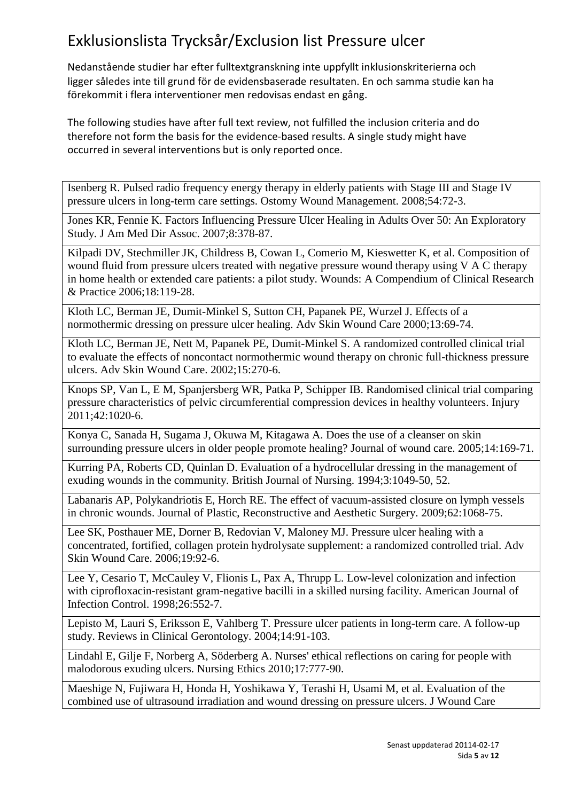Nedanstående studier har efter fulltextgranskning inte uppfyllt inklusionskriterierna och ligger således inte till grund för de evidensbaserade resultaten. En och samma studie kan ha förekommit i flera interventioner men redovisas endast en gång.

The following studies have after full text review, not fulfilled the inclusion criteria and do therefore not form the basis for the evidence-based results. A single study might have occurred in several interventions but is only reported once.

Isenberg R. Pulsed radio frequency energy therapy in elderly patients with Stage III and Stage IV pressure ulcers in long-term care settings. Ostomy Wound Management. 2008;54:72-3.

Jones KR, Fennie K. Factors Influencing Pressure Ulcer Healing in Adults Over 50: An Exploratory Study. J Am Med Dir Assoc. 2007;8:378-87.

Kilpadi DV, Stechmiller JK, Childress B, Cowan L, Comerio M, Kieswetter K, et al. Composition of wound fluid from pressure ulcers treated with negative pressure wound therapy using V A C therapy in home health or extended care patients: a pilot study. Wounds: A Compendium of Clinical Research & Practice 2006;18:119-28.

Kloth LC, Berman JE, Dumit-Minkel S, Sutton CH, Papanek PE, Wurzel J. Effects of a normothermic dressing on pressure ulcer healing. Adv Skin Wound Care 2000;13:69-74.

Kloth LC, Berman JE, Nett M, Papanek PE, Dumit-Minkel S. A randomized controlled clinical trial to evaluate the effects of noncontact normothermic wound therapy on chronic full-thickness pressure ulcers. Adv Skin Wound Care. 2002;15:270-6.

Knops SP, Van L, E M, Spanjersberg WR, Patka P, Schipper IB. Randomised clinical trial comparing pressure characteristics of pelvic circumferential compression devices in healthy volunteers. Injury 2011;42:1020-6.

Konya C, Sanada H, Sugama J, Okuwa M, Kitagawa A. Does the use of a cleanser on skin surrounding pressure ulcers in older people promote healing? Journal of wound care. 2005;14:169-71.

Kurring PA, Roberts CD, Quinlan D. Evaluation of a hydrocellular dressing in the management of exuding wounds in the community. British Journal of Nursing. 1994;3:1049-50, 52.

Labanaris AP, Polykandriotis E, Horch RE. The effect of vacuum-assisted closure on lymph vessels in chronic wounds. Journal of Plastic, Reconstructive and Aesthetic Surgery. 2009;62:1068-75.

Lee SK, Posthauer ME, Dorner B, Redovian V, Maloney MJ. Pressure ulcer healing with a concentrated, fortified, collagen protein hydrolysate supplement: a randomized controlled trial. Adv Skin Wound Care. 2006;19:92-6.

Lee Y, Cesario T, McCauley V, Flionis L, Pax A, Thrupp L. Low-level colonization and infection with ciprofloxacin-resistant gram-negative bacilli in a skilled nursing facility. American Journal of Infection Control. 1998;26:552-7.

Lepisto M, Lauri S, Eriksson E, Vahlberg T. Pressure ulcer patients in long-term care. A follow-up study. Reviews in Clinical Gerontology. 2004;14:91-103.

Lindahl E, Gilje F, Norberg A, Söderberg A. Nurses' ethical reflections on caring for people with malodorous exuding ulcers. Nursing Ethics 2010;17:777-90.

Maeshige N, Fujiwara H, Honda H, Yoshikawa Y, Terashi H, Usami M, et al. Evaluation of the combined use of ultrasound irradiation and wound dressing on pressure ulcers. J Wound Care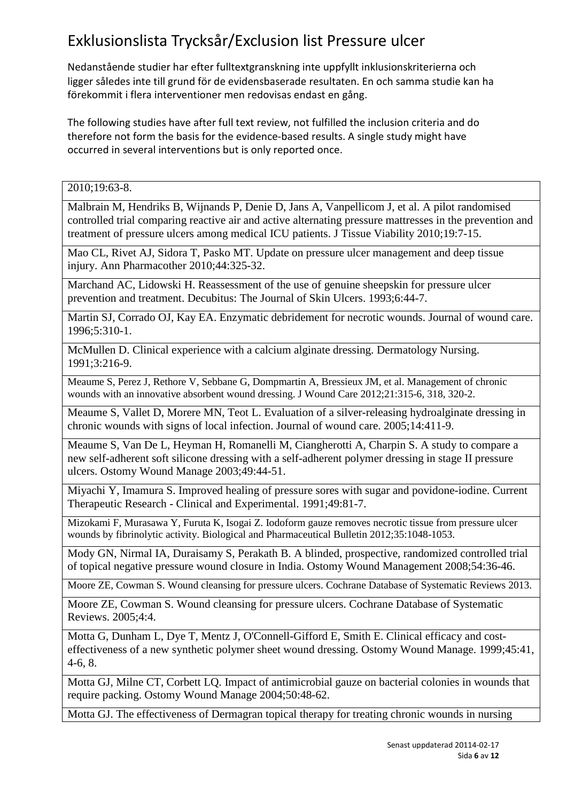Nedanstående studier har efter fulltextgranskning inte uppfyllt inklusionskriterierna och ligger således inte till grund för de evidensbaserade resultaten. En och samma studie kan ha förekommit i flera interventioner men redovisas endast en gång.

The following studies have after full text review, not fulfilled the inclusion criteria and do therefore not form the basis for the evidence-based results. A single study might have occurred in several interventions but is only reported once.

2010;19:63-8.

Malbrain M, Hendriks B, Wijnands P, Denie D, Jans A, Vanpellicom J, et al. A pilot randomised controlled trial comparing reactive air and active alternating pressure mattresses in the prevention and treatment of pressure ulcers among medical ICU patients. J Tissue Viability 2010;19:7-15.

Mao CL, Rivet AJ, Sidora T, Pasko MT. Update on pressure ulcer management and deep tissue injury. Ann Pharmacother 2010;44:325-32.

Marchand AC, Lidowski H. Reassessment of the use of genuine sheepskin for pressure ulcer prevention and treatment. Decubitus: The Journal of Skin Ulcers. 1993;6:44-7.

Martin SJ, Corrado OJ, Kay EA. Enzymatic debridement for necrotic wounds. Journal of wound care. 1996;5:310-1.

McMullen D. Clinical experience with a calcium alginate dressing. Dermatology Nursing. 1991;3:216-9.

Meaume S, Perez J, Rethore V, Sebbane G, Dompmartin A, Bressieux JM, et al. Management of chronic wounds with an innovative absorbent wound dressing. J Wound Care 2012;21:315-6, 318, 320-2.

Meaume S, Vallet D, Morere MN, Teot L. Evaluation of a silver-releasing hydroalginate dressing in chronic wounds with signs of local infection. Journal of wound care. 2005;14:411-9.

Meaume S, Van De L, Heyman H, Romanelli M, Ciangherotti A, Charpin S. A study to compare a new self-adherent soft silicone dressing with a self-adherent polymer dressing in stage II pressure ulcers. Ostomy Wound Manage 2003;49:44-51.

Miyachi Y, Imamura S. Improved healing of pressure sores with sugar and povidone-iodine. Current Therapeutic Research - Clinical and Experimental. 1991;49:81-7.

Mizokami F, Murasawa Y, Furuta K, Isogai Z. Iodoform gauze removes necrotic tissue from pressure ulcer wounds by fibrinolytic activity. Biological and Pharmaceutical Bulletin 2012;35:1048-1053.

Mody GN, Nirmal IA, Duraisamy S, Perakath B. A blinded, prospective, randomized controlled trial of topical negative pressure wound closure in India. Ostomy Wound Management 2008;54:36-46.

Moore ZE, Cowman S. Wound cleansing for pressure ulcers. Cochrane Database of Systematic Reviews 2013.

Moore ZE, Cowman S. Wound cleansing for pressure ulcers. Cochrane Database of Systematic Reviews. 2005;4:4.

Motta G, Dunham L, Dye T, Mentz J, O'Connell-Gifford E, Smith E. Clinical efficacy and costeffectiveness of a new synthetic polymer sheet wound dressing. Ostomy Wound Manage. 1999;45:41, 4-6, 8.

Motta GJ, Milne CT, Corbett LQ. Impact of antimicrobial gauze on bacterial colonies in wounds that require packing. Ostomy Wound Manage 2004;50:48-62.

Motta GJ. The effectiveness of Dermagran topical therapy for treating chronic wounds in nursing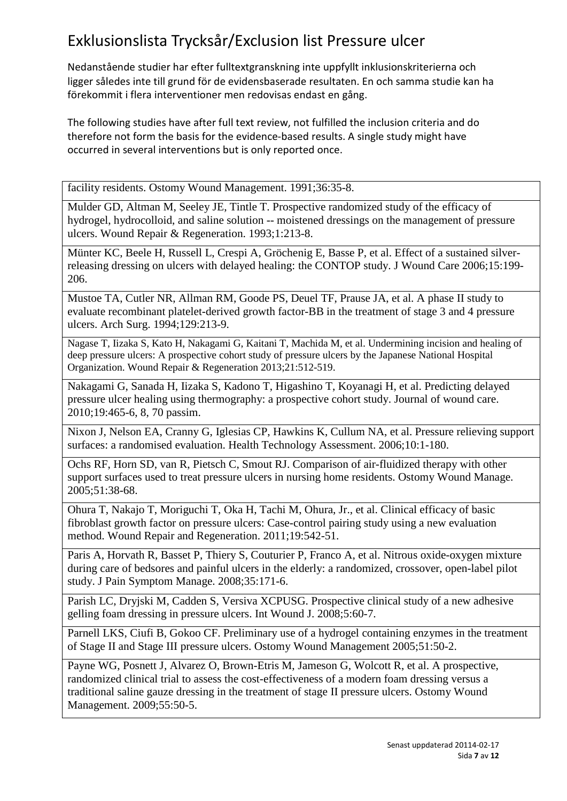Nedanstående studier har efter fulltextgranskning inte uppfyllt inklusionskriterierna och ligger således inte till grund för de evidensbaserade resultaten. En och samma studie kan ha förekommit i flera interventioner men redovisas endast en gång.

The following studies have after full text review, not fulfilled the inclusion criteria and do therefore not form the basis for the evidence-based results. A single study might have occurred in several interventions but is only reported once.

facility residents. Ostomy Wound Management. 1991;36:35-8.

Mulder GD, Altman M, Seeley JE, Tintle T. Prospective randomized study of the efficacy of hydrogel, hydrocolloid, and saline solution -- moistened dressings on the management of pressure ulcers. Wound Repair & Regeneration. 1993;1:213-8.

Münter KC, Beele H, Russell L, Crespi A, Gröchenig E, Basse P, et al. Effect of a sustained silverreleasing dressing on ulcers with delayed healing: the CONTOP study. J Wound Care 2006;15:199- 206.

Mustoe TA, Cutler NR, Allman RM, Goode PS, Deuel TF, Prause JA, et al. A phase II study to evaluate recombinant platelet-derived growth factor-BB in the treatment of stage 3 and 4 pressure ulcers. Arch Surg. 1994;129:213-9.

Nagase T, Iizaka S, Kato H, Nakagami G, Kaitani T, Machida M, et al. Undermining incision and healing of deep pressure ulcers: A prospective cohort study of pressure ulcers by the Japanese National Hospital Organization. Wound Repair & Regeneration 2013;21:512-519.

Nakagami G, Sanada H, Iizaka S, Kadono T, Higashino T, Koyanagi H, et al. Predicting delayed pressure ulcer healing using thermography: a prospective cohort study. Journal of wound care. 2010;19:465-6, 8, 70 passim.

Nixon J, Nelson EA, Cranny G, Iglesias CP, Hawkins K, Cullum NA, et al. Pressure relieving support surfaces: a randomised evaluation. Health Technology Assessment. 2006;10:1-180.

Ochs RF, Horn SD, van R, Pietsch C, Smout RJ. Comparison of air-fluidized therapy with other support surfaces used to treat pressure ulcers in nursing home residents. Ostomy Wound Manage. 2005;51:38-68.

Ohura T, Nakajo T, Moriguchi T, Oka H, Tachi M, Ohura, Jr., et al. Clinical efficacy of basic fibroblast growth factor on pressure ulcers: Case-control pairing study using a new evaluation method. Wound Repair and Regeneration. 2011;19:542-51.

Paris A, Horvath R, Basset P, Thiery S, Couturier P, Franco A, et al. Nitrous oxide-oxygen mixture during care of bedsores and painful ulcers in the elderly: a randomized, crossover, open-label pilot study. J Pain Symptom Manage. 2008;35:171-6.

Parish LC, Dryjski M, Cadden S, Versiva XCPUSG. Prospective clinical study of a new adhesive gelling foam dressing in pressure ulcers. Int Wound J. 2008;5:60-7.

Parnell LKS, Ciufi B, Gokoo CF. Preliminary use of a hydrogel containing enzymes in the treatment of Stage II and Stage III pressure ulcers. Ostomy Wound Management 2005;51:50-2.

Payne WG, Posnett J, Alvarez O, Brown-Etris M, Jameson G, Wolcott R, et al. A prospective, randomized clinical trial to assess the cost-effectiveness of a modern foam dressing versus a traditional saline gauze dressing in the treatment of stage II pressure ulcers. Ostomy Wound Management. 2009;55:50-5.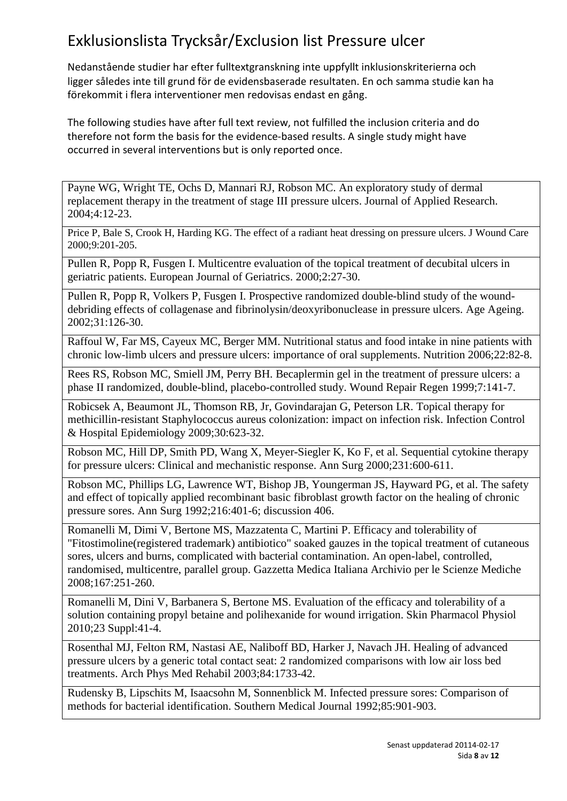Nedanstående studier har efter fulltextgranskning inte uppfyllt inklusionskriterierna och ligger således inte till grund för de evidensbaserade resultaten. En och samma studie kan ha förekommit i flera interventioner men redovisas endast en gång.

The following studies have after full text review, not fulfilled the inclusion criteria and do therefore not form the basis for the evidence-based results. A single study might have occurred in several interventions but is only reported once.

Payne WG, Wright TE, Ochs D, Mannari RJ, Robson MC. An exploratory study of dermal replacement therapy in the treatment of stage III pressure ulcers. Journal of Applied Research. 2004;4:12-23.

Price P, Bale S, Crook H, Harding KG. The effect of a radiant heat dressing on pressure ulcers. J Wound Care 2000;9:201-205.

Pullen R, Popp R, Fusgen I. Multicentre evaluation of the topical treatment of decubital ulcers in geriatric patients. European Journal of Geriatrics. 2000;2:27-30.

Pullen R, Popp R, Volkers P, Fusgen I. Prospective randomized double-blind study of the wounddebriding effects of collagenase and fibrinolysin/deoxyribonuclease in pressure ulcers. Age Ageing. 2002;31:126-30.

Raffoul W, Far MS, Cayeux MC, Berger MM. Nutritional status and food intake in nine patients with chronic low-limb ulcers and pressure ulcers: importance of oral supplements. Nutrition 2006;22:82-8.

Rees RS, Robson MC, Smiell JM, Perry BH. Becaplermin gel in the treatment of pressure ulcers: a phase II randomized, double-blind, placebo-controlled study. Wound Repair Regen 1999;7:141-7.

Robicsek A, Beaumont JL, Thomson RB, Jr, Govindarajan G, Peterson LR. Topical therapy for methicillin-resistant Staphylococcus aureus colonization: impact on infection risk. Infection Control & Hospital Epidemiology 2009;30:623-32.

Robson MC, Hill DP, Smith PD, Wang X, Meyer-Siegler K, Ko F, et al. Sequential cytokine therapy for pressure ulcers: Clinical and mechanistic response. Ann Surg 2000;231:600-611.

Robson MC, Phillips LG, Lawrence WT, Bishop JB, Youngerman JS, Hayward PG, et al. The safety and effect of topically applied recombinant basic fibroblast growth factor on the healing of chronic pressure sores. Ann Surg 1992;216:401-6; discussion 406.

Romanelli M, Dimi V, Bertone MS, Mazzatenta C, Martini P. Efficacy and tolerability of "Fitostimoline(registered trademark) antibiotico" soaked gauzes in the topical treatment of cutaneous sores, ulcers and burns, complicated with bacterial contamination. An open-label, controlled, randomised, multicentre, parallel group. Gazzetta Medica Italiana Archivio per le Scienze Mediche 2008;167:251-260.

Romanelli M, Dini V, Barbanera S, Bertone MS. Evaluation of the efficacy and tolerability of a solution containing propyl betaine and polihexanide for wound irrigation. Skin Pharmacol Physiol 2010;23 Suppl:41-4.

Rosenthal MJ, Felton RM, Nastasi AE, Naliboff BD, Harker J, Navach JH. Healing of advanced pressure ulcers by a generic total contact seat: 2 randomized comparisons with low air loss bed treatments. Arch Phys Med Rehabil 2003;84:1733-42.

Rudensky B, Lipschits M, Isaacsohn M, Sonnenblick M. Infected pressure sores: Comparison of methods for bacterial identification. Southern Medical Journal 1992;85:901-903.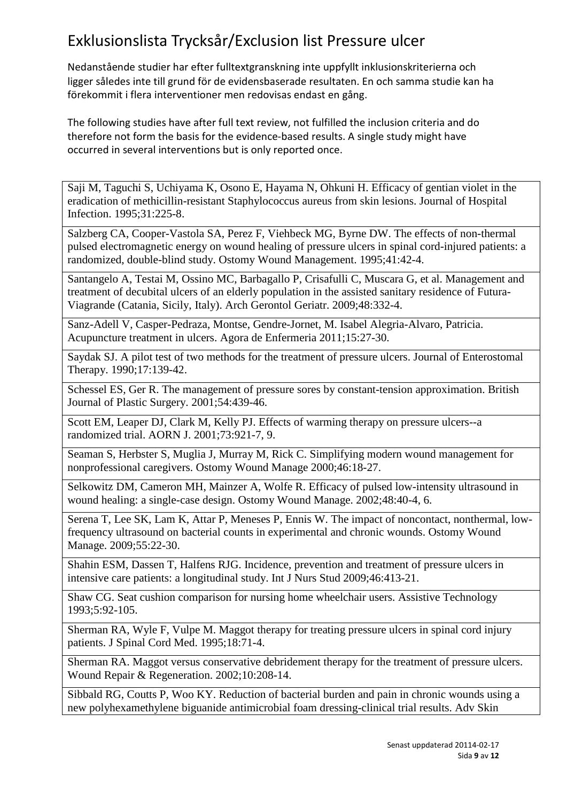Nedanstående studier har efter fulltextgranskning inte uppfyllt inklusionskriterierna och ligger således inte till grund för de evidensbaserade resultaten. En och samma studie kan ha förekommit i flera interventioner men redovisas endast en gång.

The following studies have after full text review, not fulfilled the inclusion criteria and do therefore not form the basis for the evidence-based results. A single study might have occurred in several interventions but is only reported once.

Saji M, Taguchi S, Uchiyama K, Osono E, Hayama N, Ohkuni H. Efficacy of gentian violet in the eradication of methicillin-resistant Staphylococcus aureus from skin lesions. Journal of Hospital Infection. 1995;31:225-8.

Salzberg CA, Cooper-Vastola SA, Perez F, Viehbeck MG, Byrne DW. The effects of non-thermal pulsed electromagnetic energy on wound healing of pressure ulcers in spinal cord-injured patients: a randomized, double-blind study. Ostomy Wound Management. 1995;41:42-4.

Santangelo A, Testai M, Ossino MC, Barbagallo P, Crisafulli C, Muscara G, et al. Management and treatment of decubital ulcers of an elderly population in the assisted sanitary residence of Futura-Viagrande (Catania, Sicily, Italy). Arch Gerontol Geriatr. 2009;48:332-4.

Sanz-Adell V, Casper-Pedraza, Montse, Gendre-Jornet, M. Isabel Alegria-Alvaro, Patricia. Acupuncture treatment in ulcers. Agora de Enfermeria 2011;15:27-30.

Saydak SJ. A pilot test of two methods for the treatment of pressure ulcers. Journal of Enterostomal Therapy. 1990;17:139-42.

Schessel ES, Ger R. The management of pressure sores by constant-tension approximation. British Journal of Plastic Surgery. 2001;54:439-46.

Scott EM, Leaper DJ, Clark M, Kelly PJ. Effects of warming therapy on pressure ulcers--a randomized trial. AORN J. 2001;73:921-7, 9.

Seaman S, Herbster S, Muglia J, Murray M, Rick C. Simplifying modern wound management for nonprofessional caregivers. Ostomy Wound Manage 2000;46:18-27.

Selkowitz DM, Cameron MH, Mainzer A, Wolfe R. Efficacy of pulsed low-intensity ultrasound in wound healing: a single-case design. Ostomy Wound Manage. 2002;48:40-4, 6.

Serena T, Lee SK, Lam K, Attar P, Meneses P, Ennis W. The impact of noncontact, nonthermal, lowfrequency ultrasound on bacterial counts in experimental and chronic wounds. Ostomy Wound Manage. 2009;55:22-30.

Shahin ESM, Dassen T, Halfens RJG. Incidence, prevention and treatment of pressure ulcers in intensive care patients: a longitudinal study. Int J Nurs Stud 2009;46:413-21.

Shaw CG. Seat cushion comparison for nursing home wheelchair users. Assistive Technology 1993;5:92-105.

Sherman RA, Wyle F, Vulpe M. Maggot therapy for treating pressure ulcers in spinal cord injury patients. J Spinal Cord Med. 1995;18:71-4.

Sherman RA. Maggot versus conservative debridement therapy for the treatment of pressure ulcers. Wound Repair & Regeneration. 2002;10:208-14.

Sibbald RG, Coutts P, Woo KY. Reduction of bacterial burden and pain in chronic wounds using a new polyhexamethylene biguanide antimicrobial foam dressing-clinical trial results. Adv Skin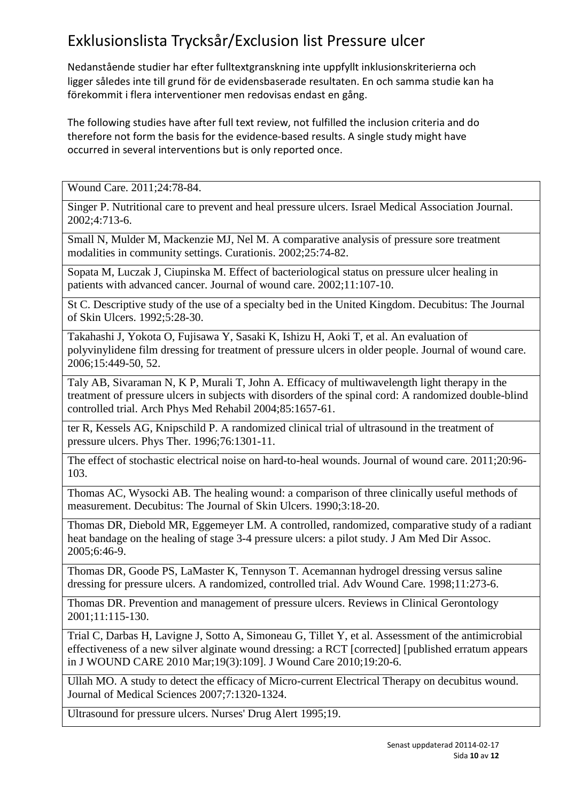Nedanstående studier har efter fulltextgranskning inte uppfyllt inklusionskriterierna och ligger således inte till grund för de evidensbaserade resultaten. En och samma studie kan ha förekommit i flera interventioner men redovisas endast en gång.

The following studies have after full text review, not fulfilled the inclusion criteria and do therefore not form the basis for the evidence-based results. A single study might have occurred in several interventions but is only reported once.

Wound Care. 2011;24:78-84.

Singer P. Nutritional care to prevent and heal pressure ulcers. Israel Medical Association Journal. 2002;4:713-6.

Small N, Mulder M, Mackenzie MJ, Nel M. A comparative analysis of pressure sore treatment modalities in community settings. Curationis. 2002;25:74-82.

Sopata M, Luczak J, Ciupinska M. Effect of bacteriological status on pressure ulcer healing in patients with advanced cancer. Journal of wound care. 2002;11:107-10.

St C. Descriptive study of the use of a specialty bed in the United Kingdom. Decubitus: The Journal of Skin Ulcers. 1992;5:28-30.

Takahashi J, Yokota O, Fujisawa Y, Sasaki K, Ishizu H, Aoki T, et al. An evaluation of polyvinylidene film dressing for treatment of pressure ulcers in older people. Journal of wound care. 2006;15:449-50, 52.

Taly AB, Sivaraman N, K P, Murali T, John A. Efficacy of multiwavelength light therapy in the treatment of pressure ulcers in subjects with disorders of the spinal cord: A randomized double-blind controlled trial. Arch Phys Med Rehabil 2004;85:1657-61.

ter R, Kessels AG, Knipschild P. A randomized clinical trial of ultrasound in the treatment of pressure ulcers. Phys Ther. 1996;76:1301-11.

The effect of stochastic electrical noise on hard-to-heal wounds. Journal of wound care. 2011;20:96-103.

Thomas AC, Wysocki AB. The healing wound: a comparison of three clinically useful methods of measurement. Decubitus: The Journal of Skin Ulcers. 1990;3:18-20.

Thomas DR, Diebold MR, Eggemeyer LM. A controlled, randomized, comparative study of a radiant heat bandage on the healing of stage 3-4 pressure ulcers: a pilot study. J Am Med Dir Assoc. 2005;6:46-9.

Thomas DR, Goode PS, LaMaster K, Tennyson T. Acemannan hydrogel dressing versus saline dressing for pressure ulcers. A randomized, controlled trial. Adv Wound Care. 1998;11:273-6.

Thomas DR. Prevention and management of pressure ulcers. Reviews in Clinical Gerontology 2001;11:115-130.

Trial C, Darbas H, Lavigne J, Sotto A, Simoneau G, Tillet Y, et al. Assessment of the antimicrobial effectiveness of a new silver alginate wound dressing: a RCT [corrected] [published erratum appears in J WOUND CARE 2010 Mar;19(3):109]. J Wound Care 2010;19:20-6.

Ullah MO. A study to detect the efficacy of Micro-current Electrical Therapy on decubitus wound. Journal of Medical Sciences 2007;7:1320-1324.

Ultrasound for pressure ulcers. Nurses' Drug Alert 1995;19.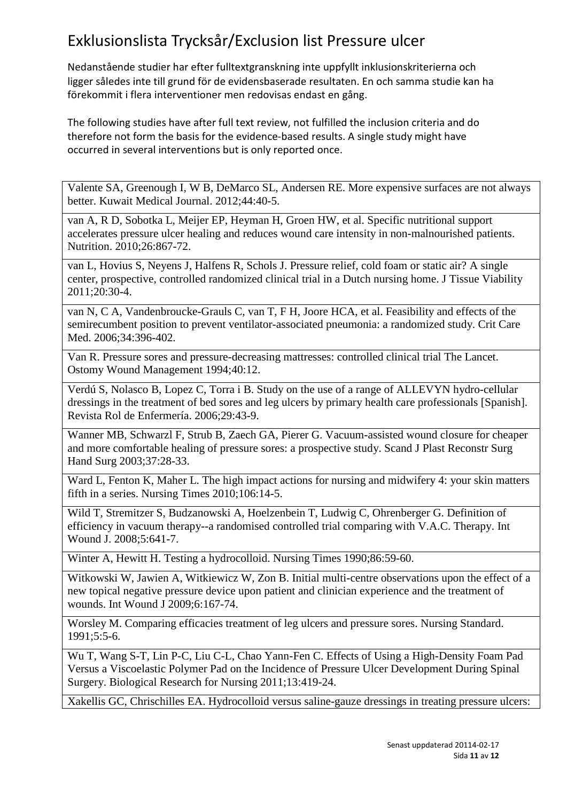Nedanstående studier har efter fulltextgranskning inte uppfyllt inklusionskriterierna och ligger således inte till grund för de evidensbaserade resultaten. En och samma studie kan ha förekommit i flera interventioner men redovisas endast en gång.

The following studies have after full text review, not fulfilled the inclusion criteria and do therefore not form the basis for the evidence-based results. A single study might have occurred in several interventions but is only reported once.

Valente SA, Greenough I, W B, DeMarco SL, Andersen RE. More expensive surfaces are not always better. Kuwait Medical Journal. 2012;44:40-5.

van A, R D, Sobotka L, Meijer EP, Heyman H, Groen HW, et al. Specific nutritional support accelerates pressure ulcer healing and reduces wound care intensity in non-malnourished patients. Nutrition. 2010;26:867-72.

van L, Hovius S, Neyens J, Halfens R, Schols J. Pressure relief, cold foam or static air? A single center, prospective, controlled randomized clinical trial in a Dutch nursing home. J Tissue Viability 2011;20:30-4.

van N, C A, Vandenbroucke-Grauls C, van T, F H, Joore HCA, et al. Feasibility and effects of the semirecumbent position to prevent ventilator-associated pneumonia: a randomized study. Crit Care Med. 2006;34:396-402.

Van R. Pressure sores and pressure-decreasing mattresses: controlled clinical trial The Lancet. Ostomy Wound Management 1994;40:12.

Verdú S, Nolasco B, Lopez C, Torra i B. Study on the use of a range of ALLEVYN hydro-cellular dressings in the treatment of bed sores and leg ulcers by primary health care professionals [Spanish]. Revista Rol de Enfermería. 2006;29:43-9.

Wanner MB, Schwarzl F, Strub B, Zaech GA, Pierer G. Vacuum-assisted wound closure for cheaper and more comfortable healing of pressure sores: a prospective study. Scand J Plast Reconstr Surg Hand Surg 2003;37:28-33.

Ward L, Fenton K, Maher L. The high impact actions for nursing and midwifery 4: your skin matters fifth in a series. Nursing Times 2010;106:14-5.

Wild T, Stremitzer S, Budzanowski A, Hoelzenbein T, Ludwig C, Ohrenberger G. Definition of efficiency in vacuum therapy--a randomised controlled trial comparing with V.A.C. Therapy. Int Wound J. 2008;5:641-7.

Winter A, Hewitt H. Testing a hydrocolloid. Nursing Times 1990;86:59-60.

Witkowski W, Jawien A, Witkiewicz W, Zon B. Initial multi-centre observations upon the effect of a new topical negative pressure device upon patient and clinician experience and the treatment of wounds. Int Wound J 2009;6:167-74.

Worsley M. Comparing efficacies treatment of leg ulcers and pressure sores. Nursing Standard. 1991;5:5-6.

Wu T, Wang S-T, Lin P-C, Liu C-L, Chao Yann-Fen C. Effects of Using a High-Density Foam Pad Versus a Viscoelastic Polymer Pad on the Incidence of Pressure Ulcer Development During Spinal Surgery. Biological Research for Nursing 2011;13:419-24.

Xakellis GC, Chrischilles EA. Hydrocolloid versus saline-gauze dressings in treating pressure ulcers: